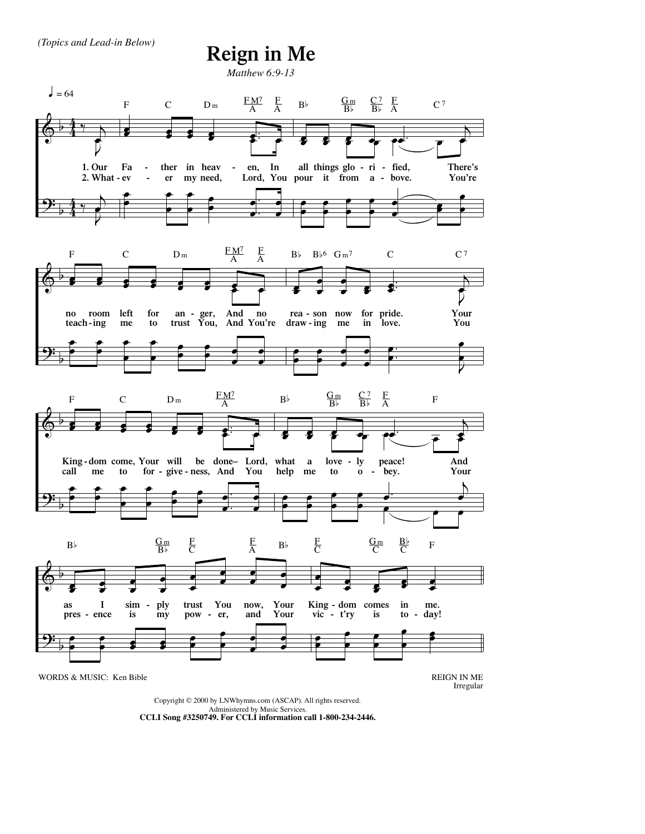## **Reign in Me**

*Matthew 6:9-13*



Copyright © 2000 by LNWhymns.com (ASCAP). All rights reserved. Administered by Music Services. **CCLI Song #3250749. For CCLI information call 1-800-234-2446.**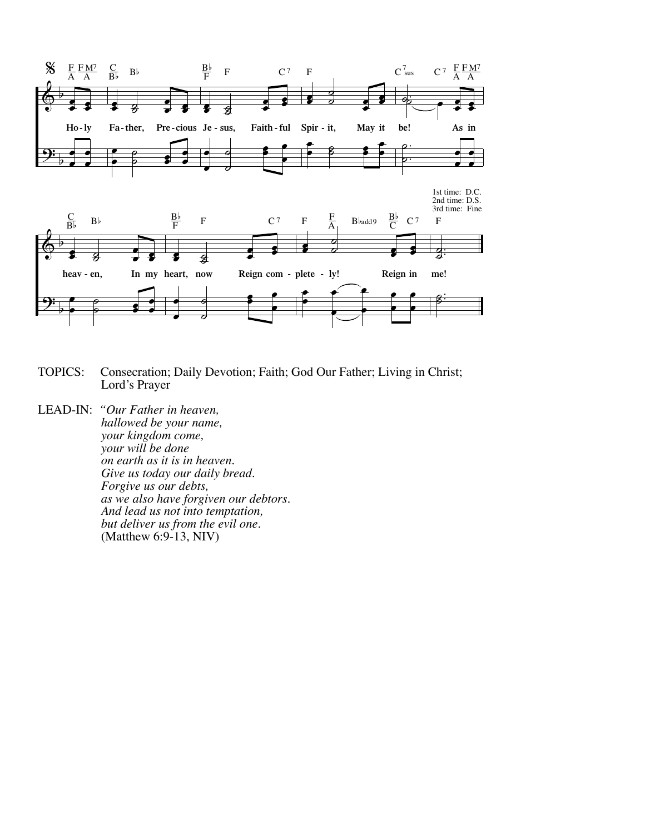

- TOPICS: Consecration; Daily Devotion; Faith; God Our Father; Living in Christ; Lord's Prayer
- LEAD-IN: *"Our Father in heaven, hallowed be your name, your kingdom come, your will be done on earth as it is in heaven. Give us today our daily bread. Forgive us our debts, as we also have forgiven our debtors. And lead us not into temptation, but deliver us from the evil one.*  (Matthew 6:9-13, NIV)